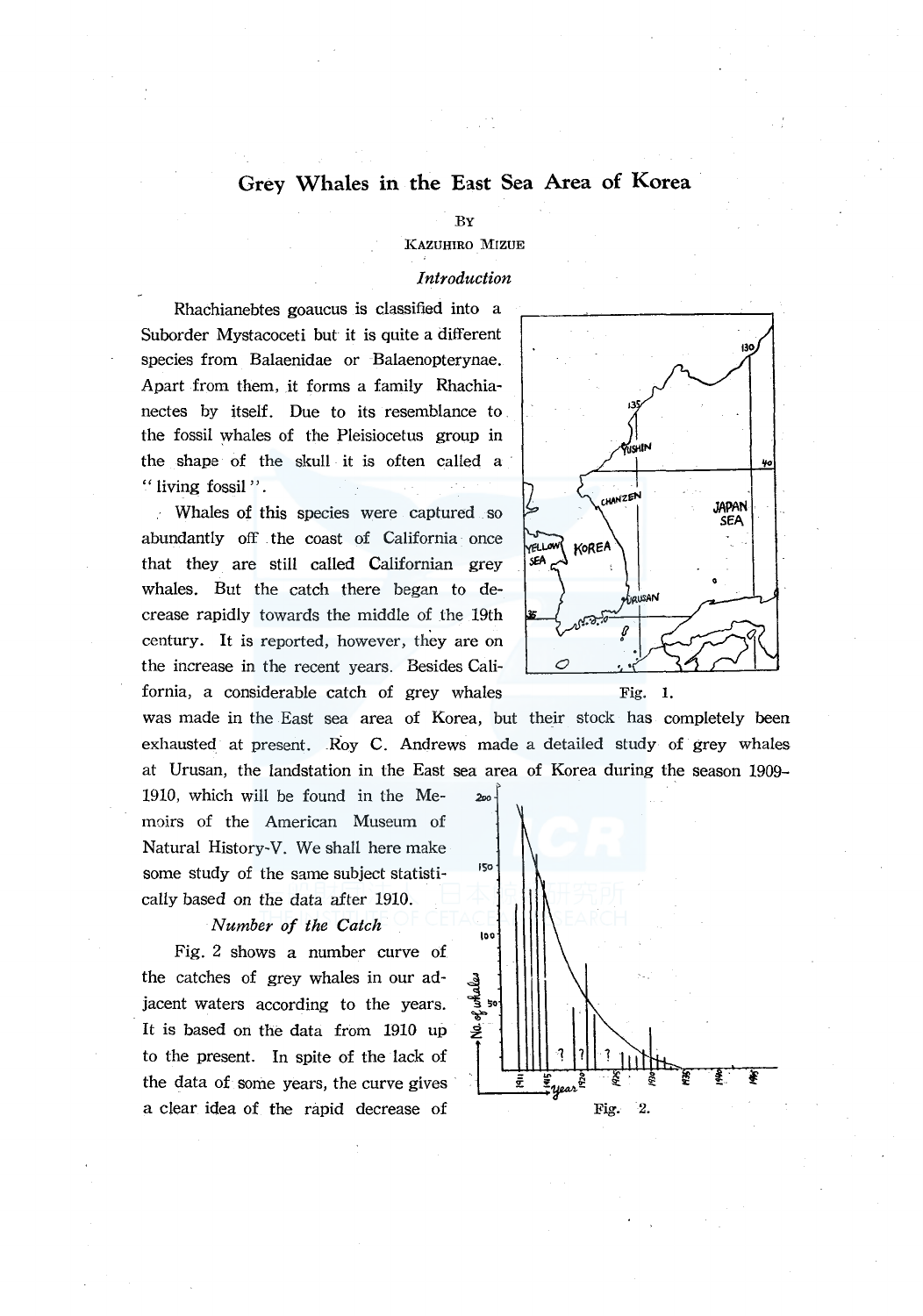# **Grey Whales in the East Sea Area of Korea**

### BY

# KAZUHIRO MIZUE

# *Introduction*

Rhachianebtes goaucus is classified into a Suborder Mystacoceti but it is quite a different species from Balaenidae or Balaenopterynae. Apart from them, it forms a family Rhachianectes by itself. Due to its resemblance to the fossil whales of the Pleisiocetus group in the shape of the skull it is often called a " living fossil ".

Whales of this species were captured so abundantly off the coast of California once that they are still called Californian grey whales. But the catch there began to decrease rapidly towards the middle of the 19th century. It is reported, however, they are on the increase in the recent years. Besides Cali- $\bigcirc$ fornia, a considerable catch of grey whales Fig. 1.

was made in the East sea area of Korea, but their stock has completely been exhausted at present. Roy C. Andrews made a detailed study of grey whales at Urusan, the landstation in the East sea area of Korea during the season 1909- ,

1910, which will be found in the Me- *2oo*  moirs of the American Museum of Natural History-V. We shall here make some study of the same subject statistically based on the data after 1910.

# *Number of the Catch*

Fig. 2 shows a number curve of the catches of grey whales in our adjacent waters according to the years. It is based on the data from 1910 up to the present. In spite of the lack of the data of some years, the curve gives a clear idea of the rapid decrease of



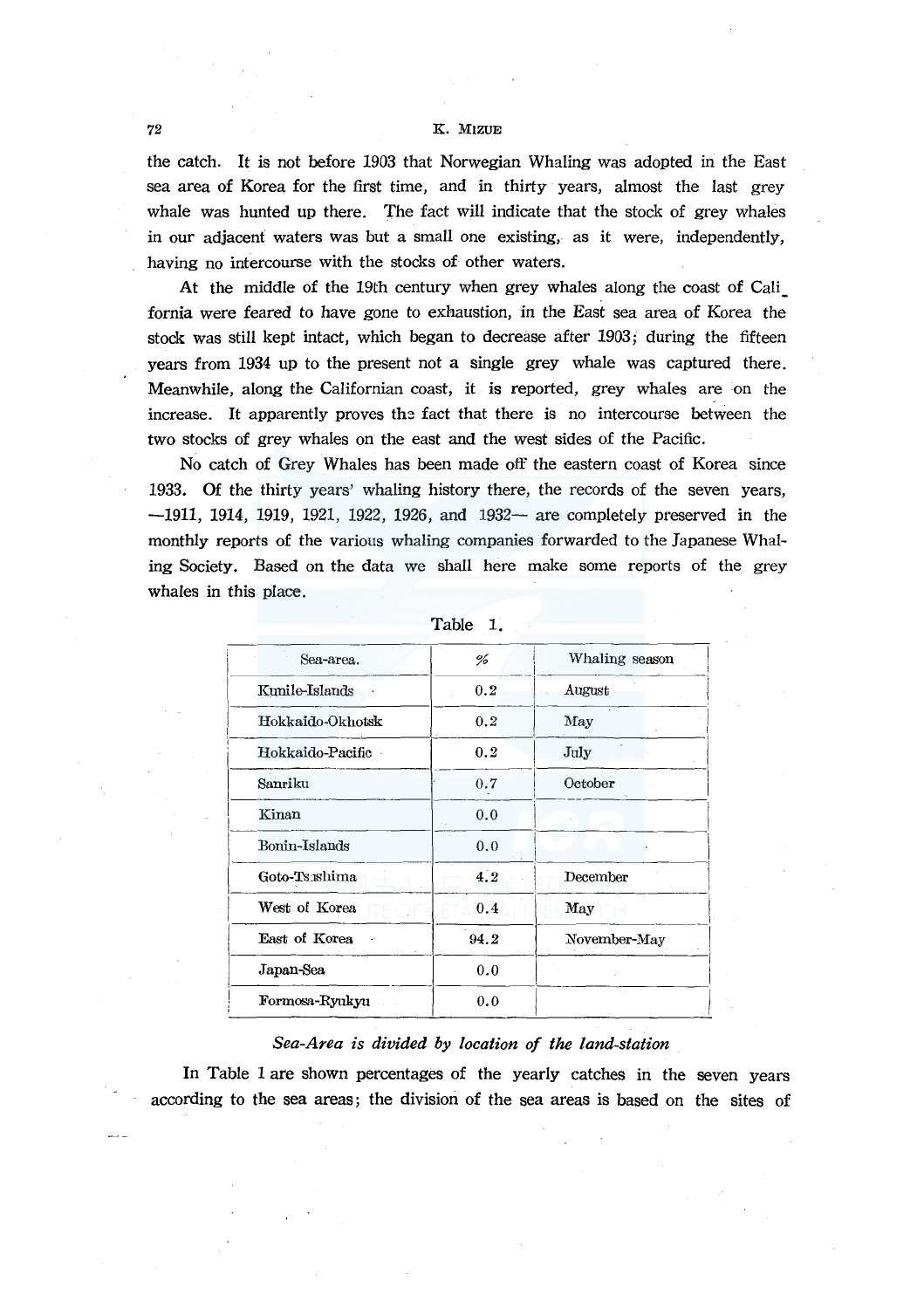### 72 K. MlZUE

the catch. It is not before 1903 that Norwegian Whaling was adopted in the East sea area of Korea for the first time, and in thirty years, almost the last grey whale was hunted up there. The fact will indicate that the stock of grey whales in our adjacent waters was but a small one existing, as it were, independently, having no intercourse with the stocks of other waters.

At the middle of the 19th century when grey whales along the coast of Cali fornia were feared to have gone to exhaustion, in the East sea area of Korea the stock was still kept intact, which began to decrease after 1903; during the fifteen years from 1934 up to the present not a single grey whale was captured there. Meanwhile, along the Californian coast, it is reported, grey whales are on the increase. It apparently proves the fact that there is no intercourse between the two stocks of grey whales on the east and the west sides of the Pacific.

No catch of Grey Whales has been made off the eastern coast of Korea since 1933. Of the thirty years' whaling history there, the records of the seven years, -1911, 1914, 1919, 1921, 1922, 1926, and 1932- are completely preserved in the monthly reports of the various whaling companies forwarded to the Japanese Whaling Society. Based on the data we shall here make some reports of the grey whales in this place.

| Sea-area.        | %    | Whaling season |
|------------------|------|----------------|
| Kunile-Islands   | 0.2  | August         |
| Hokkaido-Okhotsk | 0.2  | May            |
| Hokkaido-Pacific | 0.2  | July           |
| Sanriku          | 0.7  | October        |
| Kinan            | 0.0  |                |
| Bonin-Islands    | 0.0  |                |
| Goto-Tsushima    | 4.2  | December       |
| West of Korea    | 0.4  | May            |
| East of Korea    | 94.2 | November-May   |
| Japan-Sea        | 0.0  |                |
| Formosa-Ryukyu   | 0.0  |                |

| Table |  |
|-------|--|
|       |  |

### *Sea-Area is divided by location of the land-station*

In Table 1 are shown percentages of the yearly catches in the seven years according to the sea areas; the division of the sea areas is based on the sites of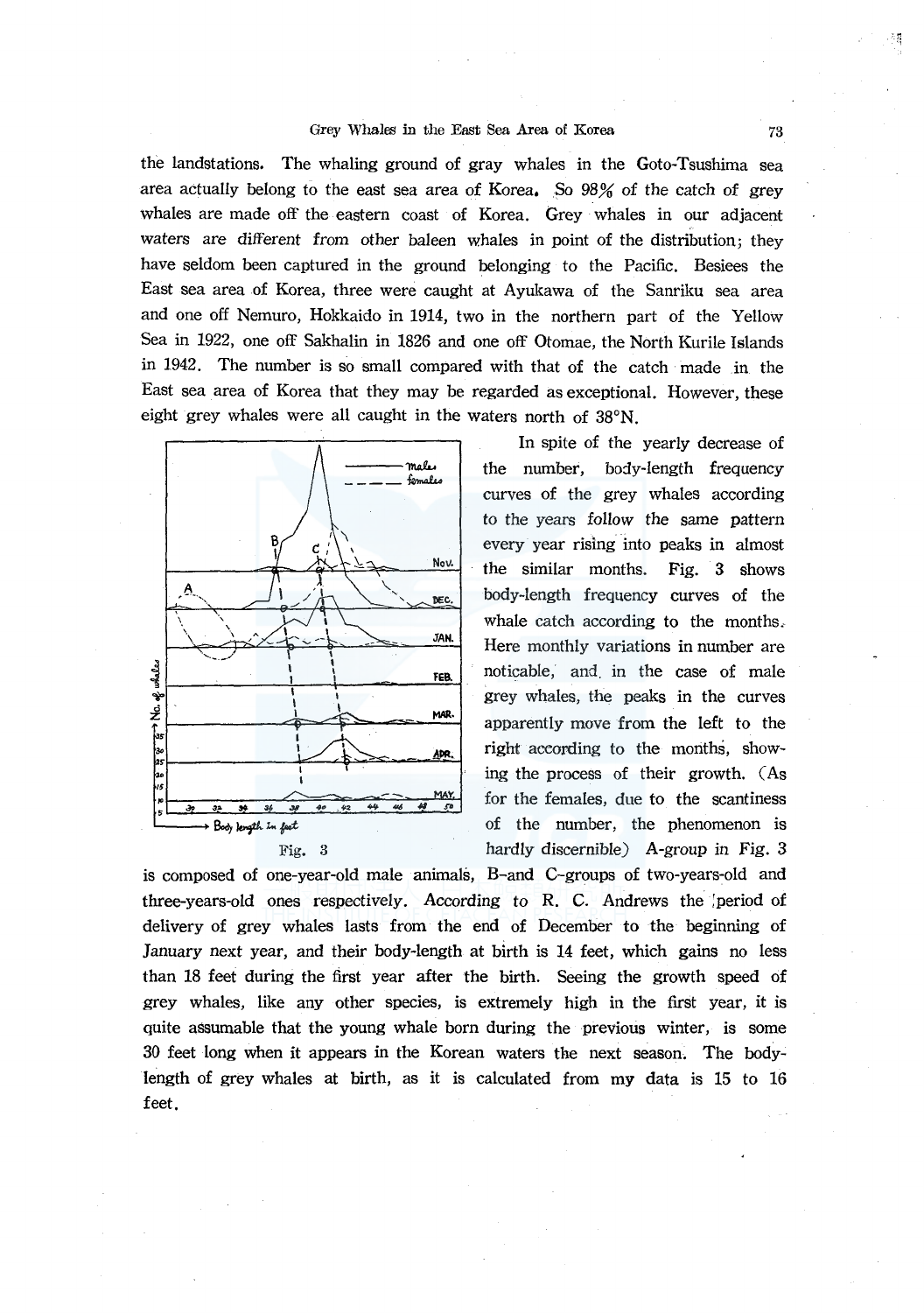### Grey Whales in the East Sea Area of Korea 73

the landstations. The whaling ground of gray whales in the Goto-Tsushima sea area actually belong to the east sea area of Korea. So 98% of the catch of grey whales are made off the eastern coast of Korea. Grey whales in our adjacent waters are different from other baleen whales in point of the distribution; they have seldom been captured in the ground belonging to the Pacific. Besiees the East sea area of Korea, three were caught at Ayukawa of the Sanriku sea area and one off Nemuro, Hokkaido in 1914, two in the northern part of the Yellow Sea in 1922, one off Sakhalin in 1826 and one off Otomae, the North Kurile Islands in 1942. The number is so small compared with that of the catch made in the East sea area of Korea that they may be regarded as exceptional. However, these eight grey whales were all caught in the waters north of 38°N.



In spite of the yearly decrease of the number, body-length frequency curves of the grey whales according to the years follow the same pattern every year rising into peaks in almost the similar months. Fig. 3 shows body-length frequency curves of the whale catch according to the months. Here monthly variations in number are noticable, and. in the case of male grey whales, the peaks in the curves apparently move from the left to the right according to the months, showing the process of their growth. (As for the females, due to the scantiness  $\frac{32}{5}$   $\frac{34}{5}$   $\frac{36}{5}$   $\frac{36}{5}$   $\frac{36}{5}$   $\frac{36}{5}$   $\frac{36}{5}$   $\frac{36}{5}$   $\frac{36}{5}$   $\frac{36}{5}$   $\frac{36}{5}$   $\frac{36}{5}$   $\frac{36}{5}$   $\frac{36}{5}$   $\frac{36}{5}$   $\frac{36}{5}$   $\frac{36}{5}$   $\frac{36}{5}$   $\frac{36}{5}$   $\frac{36}{5}$  Fig. 3 hardly discernible) A-group in Fig. 3

is composed of one-year-old male animals, B-and C-groups of two-years-old and three-years-old ones respectively. According *to* R. C. Andrews the ;period of delivery of grey whales lasts from the end of December to the beginning of January next year, and their body-length at birth is 14 feet, which gains no less than 18 feet during the first year after the birth. Seeing the growth speed of grey whales, like any other species, is extremely high in the first year, it is quite a8Sumable that the young whale born during the previous winter, is some 30 feet long when it appears in the Korean waters the next season. The bodylength of grey whales at birth, as it is calculated from my data is 15 to 16 feet.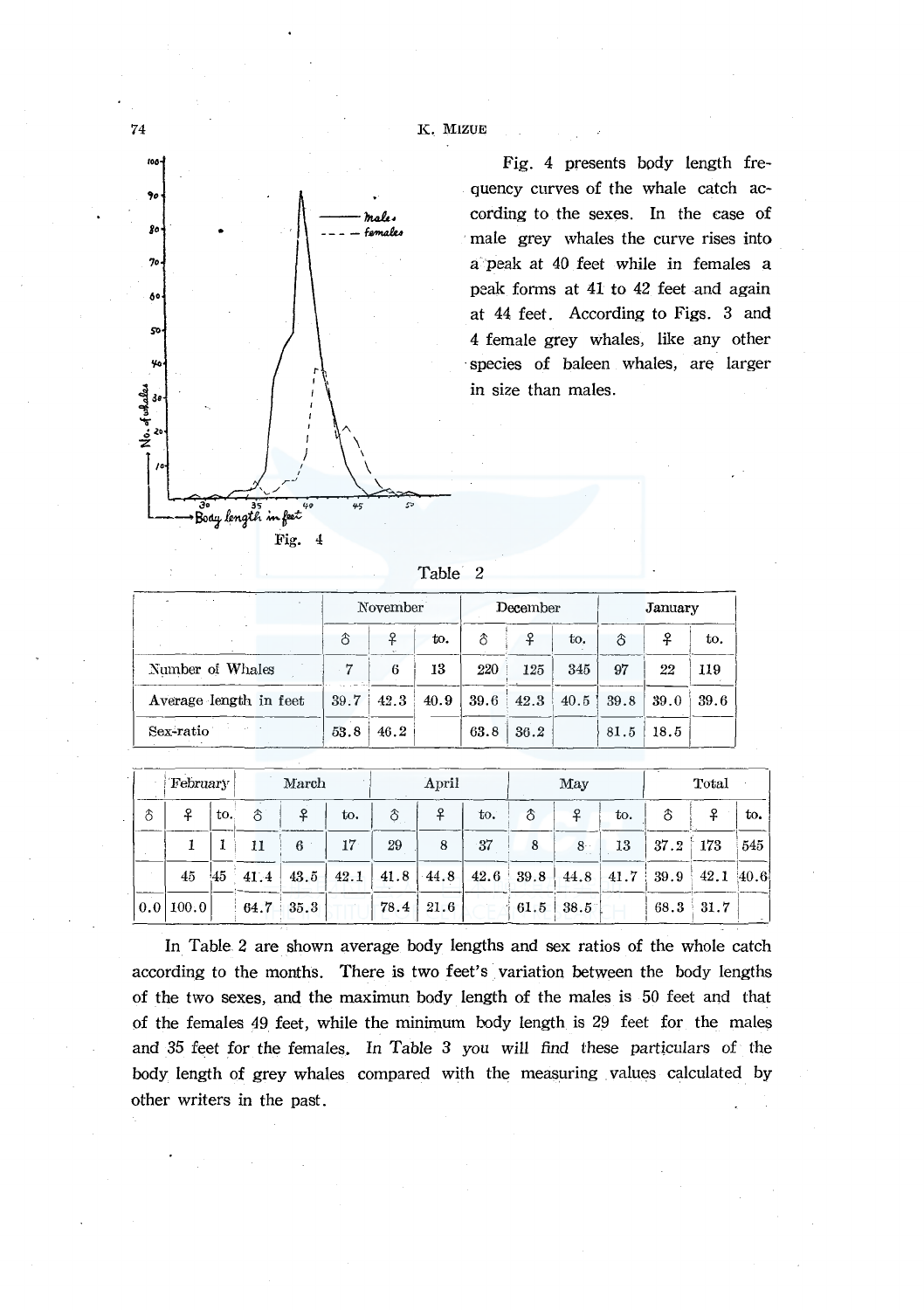



Fig. 4 presents body length frequency curves of the whale catch according to the sexes. In the case of male grey whales the curve rises into a peak at 40 feet while in females a peak forms at 41 to 42 feet and again at 44 feet. According to Figs. 3 and 4 female grev whales. like any other species of baleen whales, are larger in size than males.

|  | າ | Table |  |
|--|---|-------|--|
|--|---|-------|--|

|                        |                | November |      |      | December |      |      | January |      |
|------------------------|----------------|----------|------|------|----------|------|------|---------|------|
|                        | $\hat{\sigma}$ | ₽        | to.  | δ    | ₽        | to.  | δ    | ቶ       | to.  |
| Number of Whales       |                | 6        | 13   | 220  | 125      | 345  | 97   | 22      | 119  |
| Average length in feet | 39.7           | 42.3     | 40.9 | 39.6 | 42.3     | 40.5 | 39.8 | 39.0    | 39.6 |
| Sex-ratio              | 53.8           | 46.2     |      | 63.8 | 36.2     |      | 81.5 | 18.5    |      |

|          | February                      |     |      | March             |      |      | April           |     |             | May         |      |      | Total     |     |
|----------|-------------------------------|-----|------|-------------------|------|------|-----------------|-----|-------------|-------------|------|------|-----------|-----|
| $\delta$ | ₽                             | to. | δ    | ₽                 | to.  | δ    | ₽               | to. | $\delta$    | ₽           | to.  | δ    | ₽         | to. |
|          |                               |     |      | 6                 | 17   | 29   | 8               | -37 | 8           | $8 -$       | 13   | 37.2 | 173       | 545 |
|          | 45                            | !45 | 41.4 | 43.5              | 42.1 |      | $41.8$   $44.8$ |     | $42.6$ 39.8 | $-44.8$     | 41.7 | 39.9 | 42.1 40.6 |     |
|          | $\vert 0.0 \vert 100.0 \vert$ |     |      | $64.7 \quad 35.3$ |      | 78.4 | 21.6            |     |             | $61.5$ 38.5 |      | 68.3 | 31.7      |     |

In Table 2 are shown average body lengths and sex ratios of the whole catch according to the months. There is two feet's variation between the body lengths of the two sexes, and the maximun body length of the males is 50 feet and that of the females 49 feet, while the minimum body length is 29 feet for the males and 35 feet for the females. In Table 3 you will find these particulars of the body length of grey whales compared with the measuring values calculated by other writers in the past.

74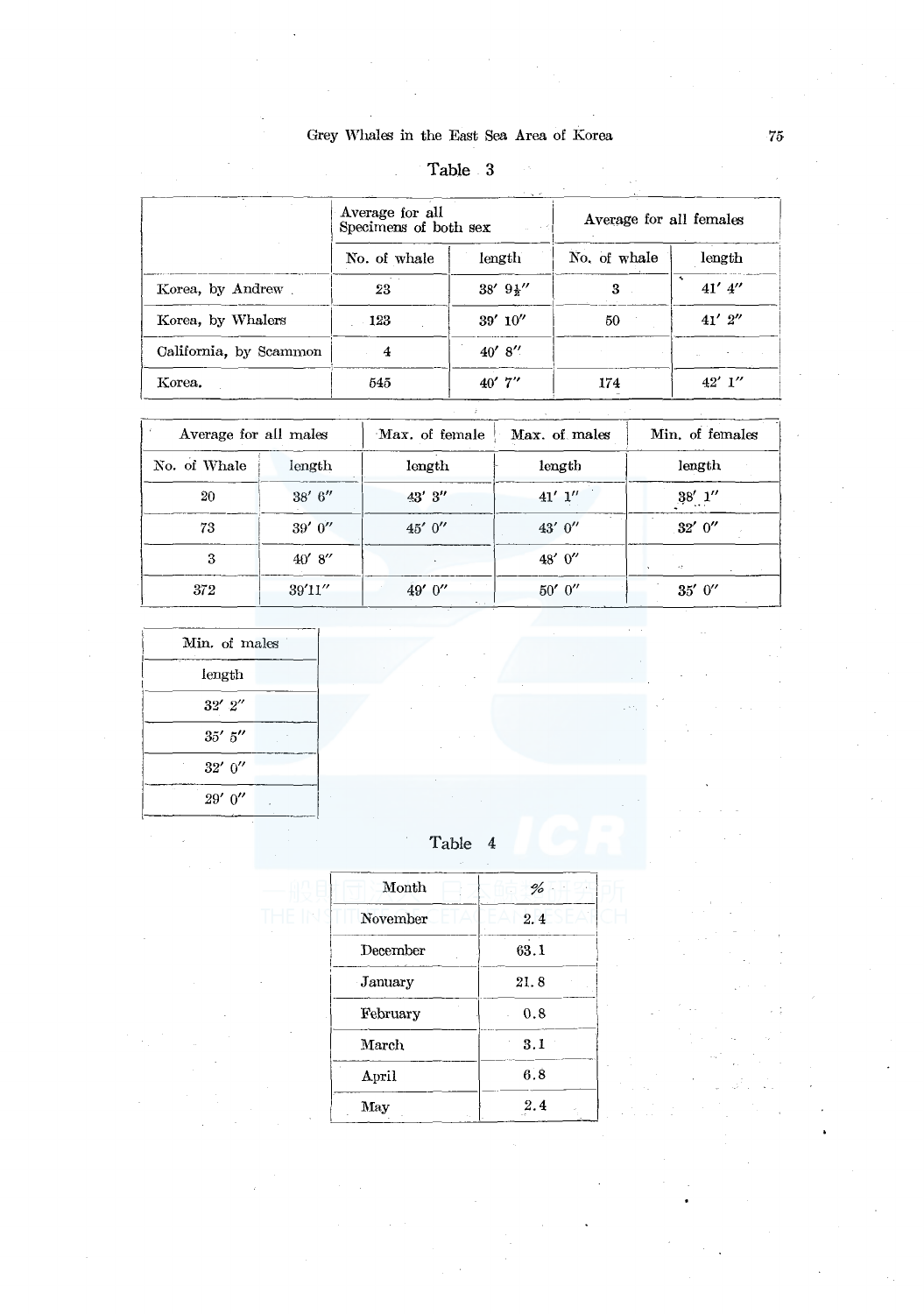| Table | . |
|-------|---|
|       |   |

|                        |                                          | <b>Lavie</b> v<br><b>Country</b> |                         |                                     |
|------------------------|------------------------------------------|----------------------------------|-------------------------|-------------------------------------|
|                        | Average for all<br>Specimens of both sex |                                  | Average for all females |                                     |
|                        | No. of whale                             | length                           | No. of whale            | length                              |
| Korea, by Andrew       | 23                                       | $38' 9\frac{1}{2}''$             | 3                       | $\ddot{\phantom{1}}$<br>$41'$ $4''$ |
| Korea, by Whalers      | - 123                                    | 39'10''                          | 50                      | $41'$ $2''$                         |
| California, by Scammon | $\overline{4}$                           | 40' 8''                          |                         |                                     |
| Korea.                 | 545                                      | $40'$ 7"                         | 174                     | $42'$ 1"                            |

| Average for all males |         | Max. of female | Max. of males | Min. of females                  |
|-----------------------|---------|----------------|---------------|----------------------------------|
| No. of Whale          | length  | length         | length        | length                           |
| 20                    | 38' 6'' | 43' 3"         | $41'$ $1''$   | $38^{\prime}$ $1^{\prime\prime}$ |
| 73                    | 39'0''  | 45'0''         | 43' $0''$     | 32'0''                           |
| 3                     | 40' 8'' |                | 48'0''        | $\sim 2$                         |
| 372                   | 39'11'' | 49' 0"         | 50'0''        | 35'0''                           |

| Min. of males |  |
|---------------|--|
| length        |  |
| $32'$ $2''$   |  |
| $35'$ 5"      |  |
| 32' 0''       |  |
| $29'$ 0"      |  |

# Table 4

| Month    | %    |
|----------|------|
| November | 2.4  |
| December | 63.1 |
| January  | 21.8 |
| February | 0.8  |
| March    | 3.1  |
| April    | 6.8  |
| May      | 2.4  |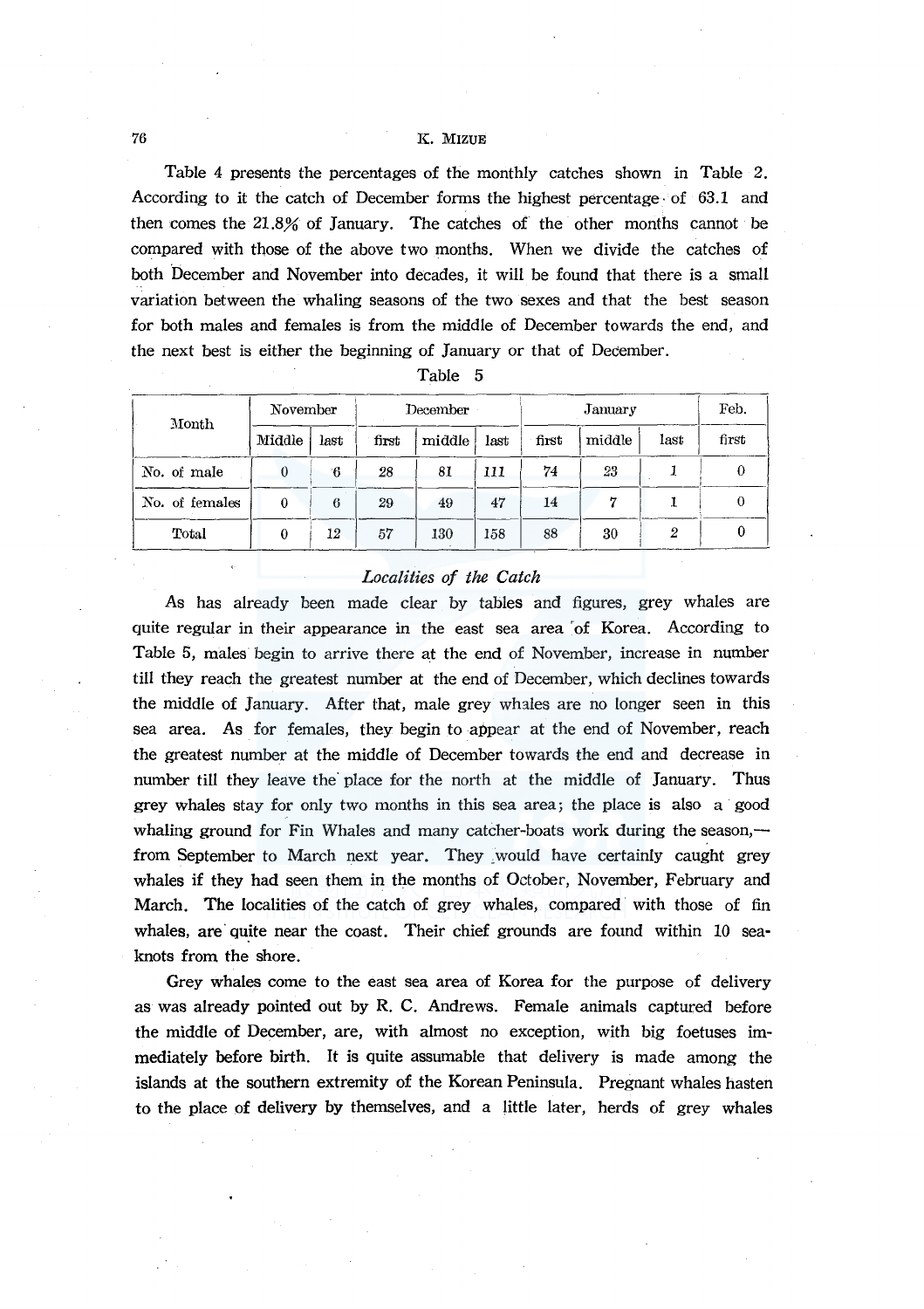### 76 K. MIZUE

Table 4 presents the percentages of the monthly catches shown in Table 2. According to it the catch of December forms the highest percentage· of 63.1 and then comes the 21.8.% of January. The catches of the other months cannot be compared with those of the above two months. When we divide the catches of both December and November into decades, it will be found that there is a small variation between the whaling seasons of the two sexes and that the best season for both males and females is from the middle of December towards the end, and the next best is either the beginning of January or that of December.

| Month          | November |      | December |        |      |       | Feb.   |      |       |
|----------------|----------|------|----------|--------|------|-------|--------|------|-------|
|                | Middle   | last | first    | middle | last | first | middle | last | first |
| No. of male    | $\theta$ | 6    | 28       | 81     | 111  | 74    | 23     |      |       |
| No. of females | $\theta$ | 6    | 29       | 49     | 47   | 14    | ,,     |      |       |
| Total          | $\bf{0}$ | 12   | 57       | 130    | 158  | 88    | 30     | 2    |       |

| Table |  |
|-------|--|
|       |  |

# *Localities of the Catch*

As has already been made clear by tables and figures, grey whales are quite regular in their appearance in the east sea area 'of Korea. According to Table 5, males begin to arrive there at the end of November, increase in number till they reach the greatest number at the end of December, which declines towards the middle of January. After that, male grey whales are no longer seen in this sea area. As for females, they begin to appear at the end of November, reach the greatest number at the middle of December towards the end and decrease in number till they leave the· place for the north at the middle of January. Thus grey whales stay for only two months in this sea area; the place is also a good whaling ground for Fin Whales and many catcher-boats work during the season, from September to March next year. They ,would have certainly caught grey whales if they had seen them in the months of October, November, February and March. The localities of the catch of grey whales, compared with those of fin whales, are quite near the coast. Their chief grounds are found within 10 seaknots from the shore.

Grey whales come to the east sea area of Korea for the purpose of delivery as was already pointed out by R. C. Andrews. Female animals captured before the middle of December, are, with almost no exception, with big foetuses immediately before birth. It is quite assumable that delivery is made among the islands at the southern extremity of the Korean Peninsula. Pregnant whales hasten to the place of delivery by themselves, and a little later, herds of grey whales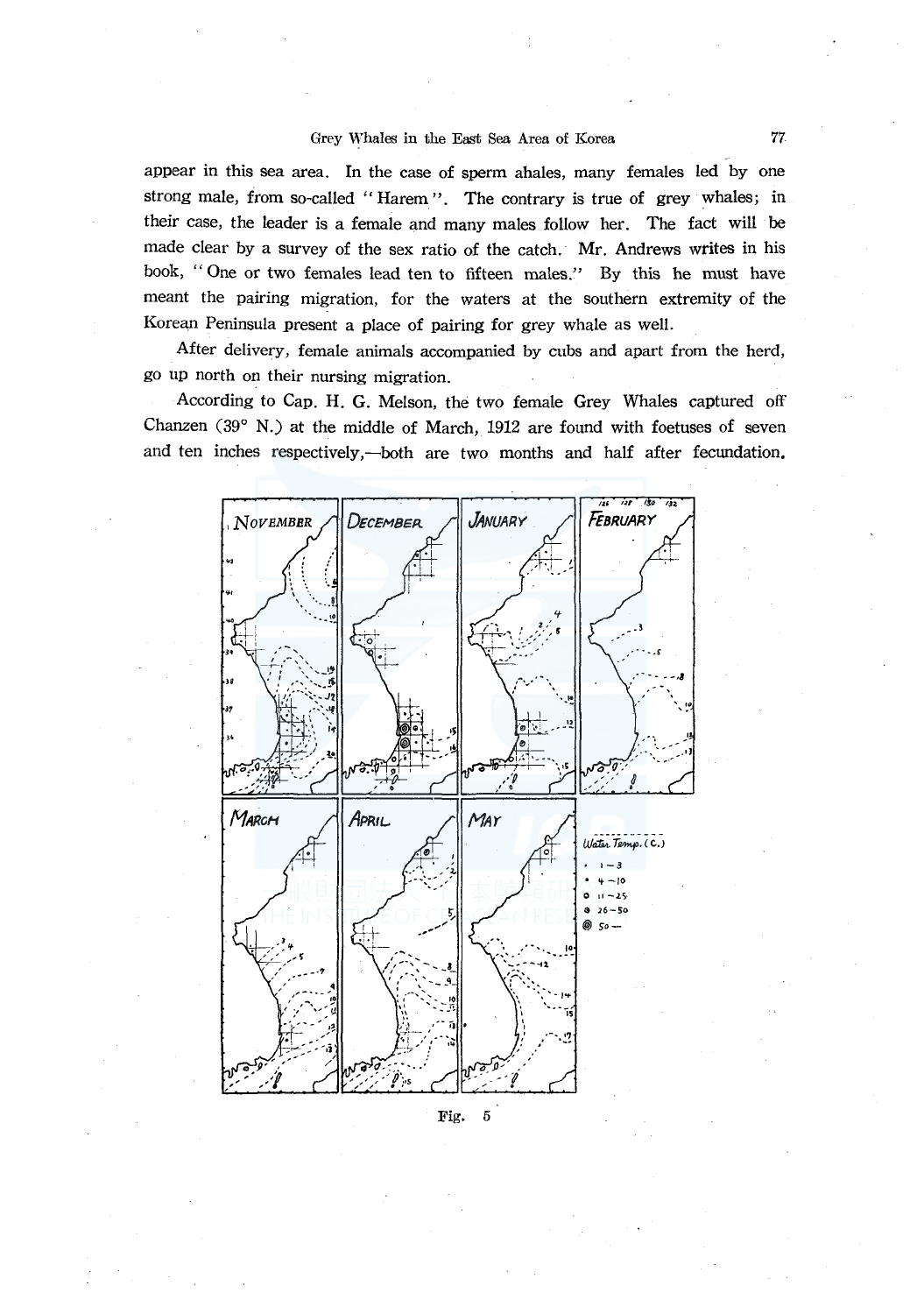### Grey Whales in the East Sea Area of Korea

appear in this sea area. In the case of sperm ahales, many females led by one strong male, from so-called "Harem". The contrary is true of grey whales; in their case, the leader is a female and many males follow her. The fact will be made clear by a survey of the sex ratio of the catch. Mr. Andrews writes in his book, "One or two females lead ten to fifteen males." By this he must have meant the pairing migration, for the waters at the southern extremity of the Korean Peninsula present a place of pairing for grey whale as well.

After delivery, female animals accompanied by cubs and apart from the herd, go up north on their nursing migration.

According to Cap. H. G. Melson, the two female Grey Whales captured off Chanzen (39° N.) at the middle of March, 1912 are found with foetuses of seven and ten inches respectively,—both are two months and half after fecundation.



Fig.  $\overline{5}$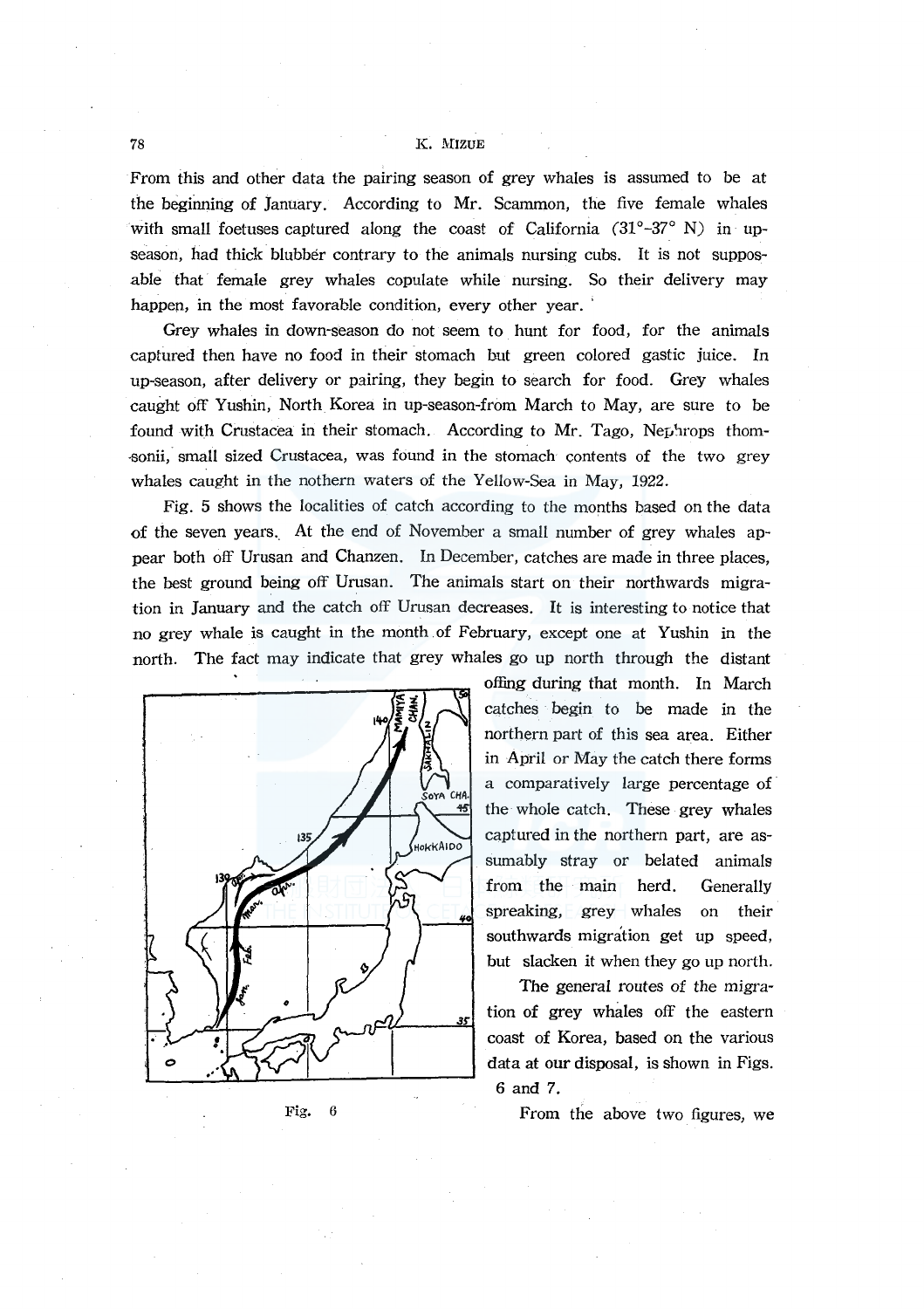### 78 K. MIZUE

From this and other data the pairing season of grey whales is assumed to be at the beginning of January. According to Mr. Scammon, the five female whales with small foetuses captured along the coast of California  $(31^{\circ}-37^{\circ}$  N) in upseason, had thick blubber contrary to the animals nursing cubs. It is not supposable that female grey whales copulate while nursing. So their delivery may happen, in the most favorable condition, every other year.

Grey whales in down-season do not seem to hunt for food, for the animals captured then have no food in their stomach but green colored gastic juice. In up-season, after delivery or pairing, they begin to search for food. Grey whales caught off Yushin, North Korea in up-season-from March to May, are sure to be found with Crustacea in their stomach. According to Mr. Tago, Nephrops thom--sonii, small sized Crustacea, was found in the stomach contents of the two grey whales caught in the nothern waters of the Yellow-Sea in May, 1922.

Fig. 5 shows the localities of catch according to the months based on the data of the seven years.. At the end of November a small number of grey whales appear both off Urusan and Chanzen. In December, catches are made in three places, the best ground being off Urusan. The animals start on their northwards migration in January and the catch off Urusan decreases. It is interesting to notice that no grey whale is caught in the month of February, except one at Yushin in the north. The fact may indicate that grey whales go up north through the distant



Fig. 6

offing during that month. In March catches begin to be made in the northern part of this sea area. Either in April or May the catch there forms a comparatively large percentage of the whole catch. These grey whales captured in the northern part, are assumably stray or belated animals from the main herd. Generally spreaking, grey whales on their southwards migration get up speed, but slacken it when they go up north.

The general routes of the migra- $\frac{3}{35}$  tion of grey whales off the eastern coast of Korea, based on the various data at our disposal, is shown in Figs. 6 and 7.

From the above two figures, we